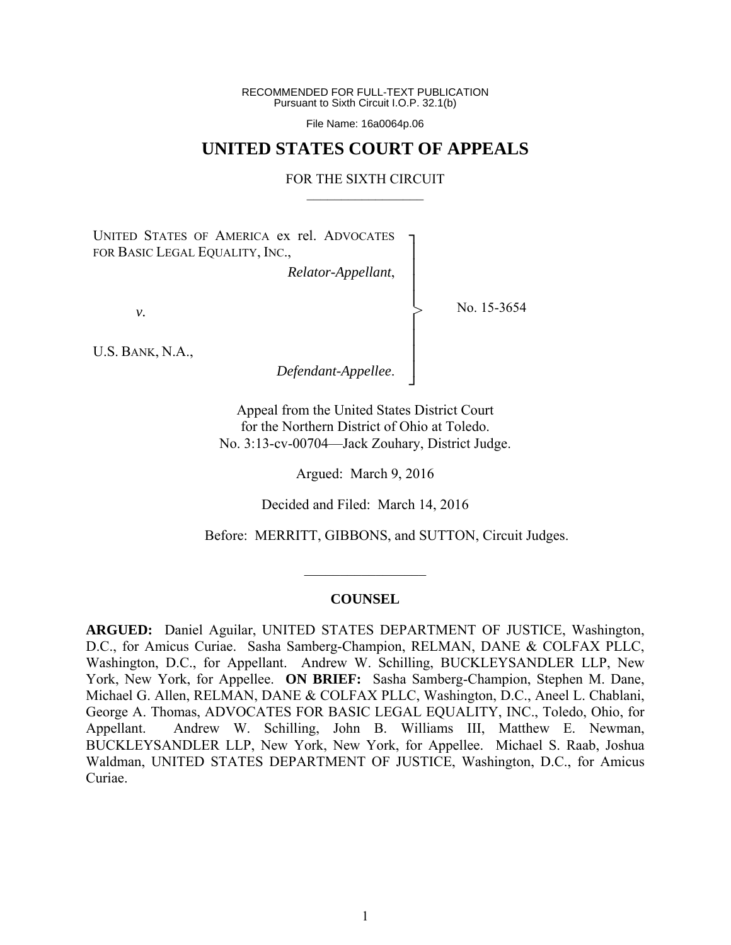RECOMMENDED FOR FULL-TEXT PUBLICATION Pursuant to Sixth Circuit I.O.P. 32.1(b)

File Name: 16a0064p.06

## **UNITED STATES COURT OF APPEALS**

## FOR THE SIXTH CIRCUIT  $\mathcal{L}_\text{max}$

┐ │ │ │ │ │ │ │ │ ┘

>

UNITED STATES OF AMERICA ex rel. ADVOCATES FOR BASIC LEGAL EQUALITY, INC.,

*Relator-Appellant*,

*v.* 

No. 15-3654

U.S. BANK, N.A.,

*Defendant-Appellee*.

Appeal from the United States District Court for the Northern District of Ohio at Toledo. No. 3:13-cv-00704—Jack Zouhary, District Judge.

Argued: March 9, 2016

Decided and Filed: March 14, 2016

Before: MERRITT, GIBBONS, and SUTTON, Circuit Judges.

## **COUNSEL**

 $\frac{1}{2}$ 

**ARGUED:** Daniel Aguilar, UNITED STATES DEPARTMENT OF JUSTICE, Washington, D.C., for Amicus Curiae. Sasha Samberg-Champion, RELMAN, DANE & COLFAX PLLC, Washington, D.C., for Appellant. Andrew W. Schilling, BUCKLEYSANDLER LLP, New York, New York, for Appellee. **ON BRIEF:** Sasha Samberg-Champion, Stephen M. Dane, Michael G. Allen, RELMAN, DANE & COLFAX PLLC, Washington, D.C., Aneel L. Chablani, George A. Thomas, ADVOCATES FOR BASIC LEGAL EQUALITY, INC., Toledo, Ohio, for Appellant. Andrew W. Schilling, John B. Williams III, Matthew E. Newman, BUCKLEYSANDLER LLP, New York, New York, for Appellee. Michael S. Raab, Joshua Waldman, UNITED STATES DEPARTMENT OF JUSTICE, Washington, D.C., for Amicus Curiae.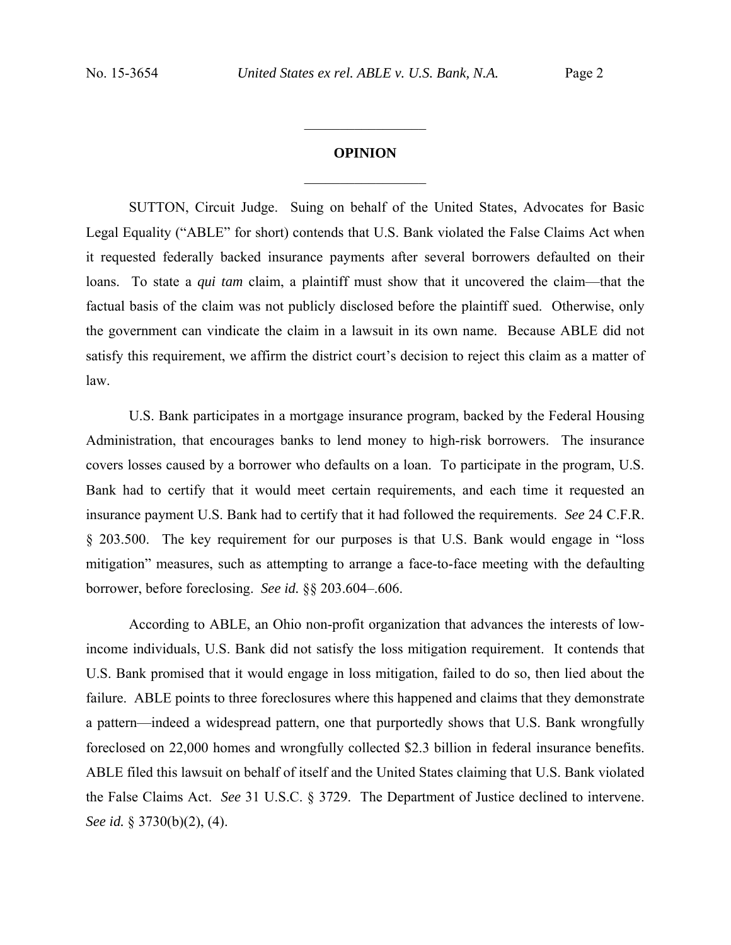## **OPINION**   $\frac{1}{2}$  ,  $\frac{1}{2}$  ,  $\frac{1}{2}$  ,  $\frac{1}{2}$  ,  $\frac{1}{2}$  ,  $\frac{1}{2}$  ,  $\frac{1}{2}$  ,  $\frac{1}{2}$  ,  $\frac{1}{2}$

 $\frac{1}{2}$  ,  $\frac{1}{2}$  ,  $\frac{1}{2}$  ,  $\frac{1}{2}$  ,  $\frac{1}{2}$  ,  $\frac{1}{2}$  ,  $\frac{1}{2}$  ,  $\frac{1}{2}$  ,  $\frac{1}{2}$ 

SUTTON, Circuit Judge. Suing on behalf of the United States, Advocates for Basic Legal Equality ("ABLE" for short) contends that U.S. Bank violated the False Claims Act when it requested federally backed insurance payments after several borrowers defaulted on their loans. To state a *qui tam* claim, a plaintiff must show that it uncovered the claim—that the factual basis of the claim was not publicly disclosed before the plaintiff sued. Otherwise, only the government can vindicate the claim in a lawsuit in its own name. Because ABLE did not satisfy this requirement, we affirm the district court's decision to reject this claim as a matter of law.

U.S. Bank participates in a mortgage insurance program, backed by the Federal Housing Administration, that encourages banks to lend money to high-risk borrowers. The insurance covers losses caused by a borrower who defaults on a loan. To participate in the program, U.S. Bank had to certify that it would meet certain requirements, and each time it requested an insurance payment U.S. Bank had to certify that it had followed the requirements. *See* 24 C.F.R. § 203.500. The key requirement for our purposes is that U.S. Bank would engage in "loss mitigation" measures, such as attempting to arrange a face-to-face meeting with the defaulting borrower, before foreclosing. *See id.* §§ 203.604–.606.

According to ABLE, an Ohio non-profit organization that advances the interests of lowincome individuals, U.S. Bank did not satisfy the loss mitigation requirement. It contends that U.S. Bank promised that it would engage in loss mitigation, failed to do so, then lied about the failure. ABLE points to three foreclosures where this happened and claims that they demonstrate a pattern—indeed a widespread pattern, one that purportedly shows that U.S. Bank wrongfully foreclosed on 22,000 homes and wrongfully collected \$2.3 billion in federal insurance benefits. ABLE filed this lawsuit on behalf of itself and the United States claiming that U.S. Bank violated the False Claims Act. *See* 31 U.S.C. § 3729. The Department of Justice declined to intervene. *See id.* § 3730(b)(2), (4).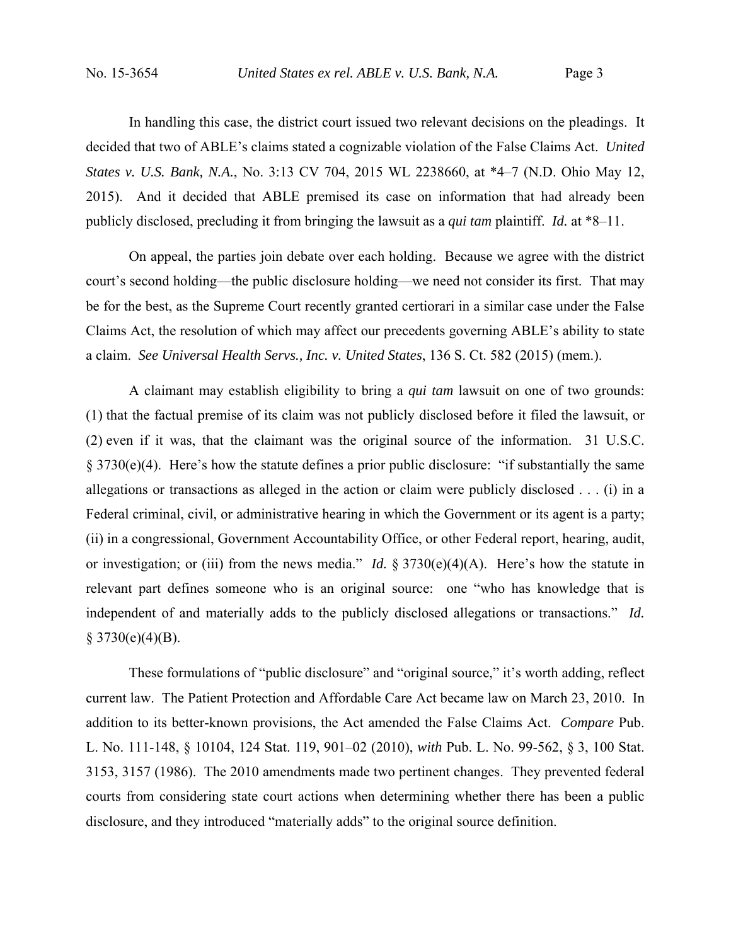In handling this case, the district court issued two relevant decisions on the pleadings. It decided that two of ABLE's claims stated a cognizable violation of the False Claims Act. *United States v. U.S. Bank, N.A.*, No. 3:13 CV 704, 2015 WL 2238660, at \*4–7 (N.D. Ohio May 12, 2015). And it decided that ABLE premised its case on information that had already been publicly disclosed, precluding it from bringing the lawsuit as a *qui tam* plaintiff. *Id.* at \*8–11.

On appeal, the parties join debate over each holding. Because we agree with the district court's second holding—the public disclosure holding—we need not consider its first. That may be for the best, as the Supreme Court recently granted certiorari in a similar case under the False Claims Act, the resolution of which may affect our precedents governing ABLE's ability to state a claim. *See Universal Health Servs., Inc. v. United States*, 136 S. Ct. 582 (2015) (mem.).

A claimant may establish eligibility to bring a *qui tam* lawsuit on one of two grounds: (1) that the factual premise of its claim was not publicly disclosed before it filed the lawsuit, or (2) even if it was, that the claimant was the original source of the information. 31 U.S.C. § 3730(e)(4). Here's how the statute defines a prior public disclosure: "if substantially the same allegations or transactions as alleged in the action or claim were publicly disclosed . . . (i) in a Federal criminal, civil, or administrative hearing in which the Government or its agent is a party; (ii) in a congressional, Government Accountability Office, or other Federal report, hearing, audit, or investigation; or (iii) from the news media." *Id.* § 3730(e)(4)(A). Here's how the statute in relevant part defines someone who is an original source: one "who has knowledge that is independent of and materially adds to the publicly disclosed allegations or transactions." *Id.*  $$3730(e)(4)(B).$ 

These formulations of "public disclosure" and "original source," it's worth adding, reflect current law. The Patient Protection and Affordable Care Act became law on March 23, 2010. In addition to its better-known provisions, the Act amended the False Claims Act. *Compare* Pub. L. No. 111-148, § 10104, 124 Stat. 119, 901–02 (2010), *with* Pub. L. No. 99-562, § 3, 100 Stat. 3153, 3157 (1986). The 2010 amendments made two pertinent changes. They prevented federal courts from considering state court actions when determining whether there has been a public disclosure, and they introduced "materially adds" to the original source definition.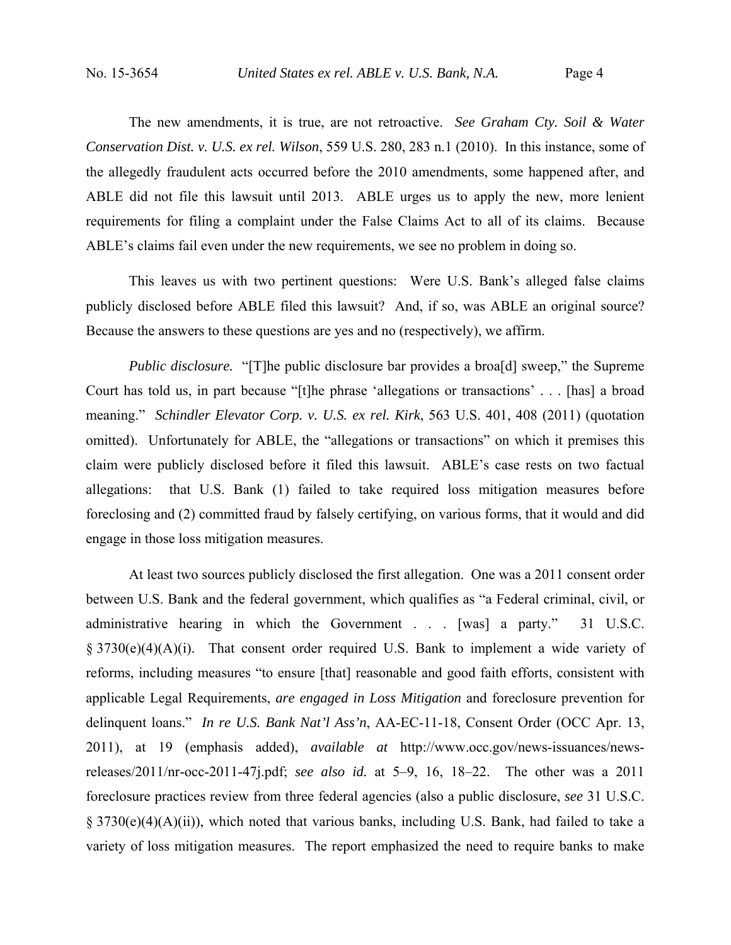The new amendments, it is true, are not retroactive. *See Graham Cty. Soil & Water Conservation Dist. v. U.S. ex rel. Wilson*, 559 U.S. 280, 283 n.1 (2010). In this instance, some of the allegedly fraudulent acts occurred before the 2010 amendments, some happened after, and ABLE did not file this lawsuit until 2013. ABLE urges us to apply the new, more lenient requirements for filing a complaint under the False Claims Act to all of its claims. Because ABLE's claims fail even under the new requirements, we see no problem in doing so.

This leaves us with two pertinent questions: Were U.S. Bank's alleged false claims publicly disclosed before ABLE filed this lawsuit? And, if so, was ABLE an original source? Because the answers to these questions are yes and no (respectively), we affirm.

*Public disclosure.* "[T]he public disclosure bar provides a broa[d] sweep," the Supreme Court has told us, in part because "[t]he phrase 'allegations or transactions' . . . [has] a broad meaning." *Schindler Elevator Corp. v. U.S. ex rel. Kirk*, 563 U.S. 401, 408 (2011) (quotation omitted). Unfortunately for ABLE, the "allegations or transactions" on which it premises this claim were publicly disclosed before it filed this lawsuit. ABLE's case rests on two factual allegations: that U.S. Bank (1) failed to take required loss mitigation measures before foreclosing and (2) committed fraud by falsely certifying, on various forms, that it would and did engage in those loss mitigation measures.

At least two sources publicly disclosed the first allegation. One was a 2011 consent order between U.S. Bank and the federal government, which qualifies as "a Federal criminal, civil, or administrative hearing in which the Government . . . [was] a party." 31 U.S.C. § 3730(e)(4)(A)(i). That consent order required U.S. Bank to implement a wide variety of reforms, including measures "to ensure [that] reasonable and good faith efforts, consistent with applicable Legal Requirements, *are engaged in Loss Mitigation* and foreclosure prevention for delinquent loans." *In re U.S. Bank Nat'l Ass'n*, AA-EC-11-18, Consent Order (OCC Apr. 13, 2011), at 19 (emphasis added), *available at* http://www.occ.gov/news-issuances/newsreleases/2011/nr-occ-2011-47j.pdf; *see also id.* at 5–9, 16, 18–22. The other was a 2011 foreclosure practices review from three federal agencies (also a public disclosure, *see* 31 U.S.C. § 3730(e)(4)(A)(ii)), which noted that various banks, including U.S. Bank, had failed to take a variety of loss mitigation measures. The report emphasized the need to require banks to make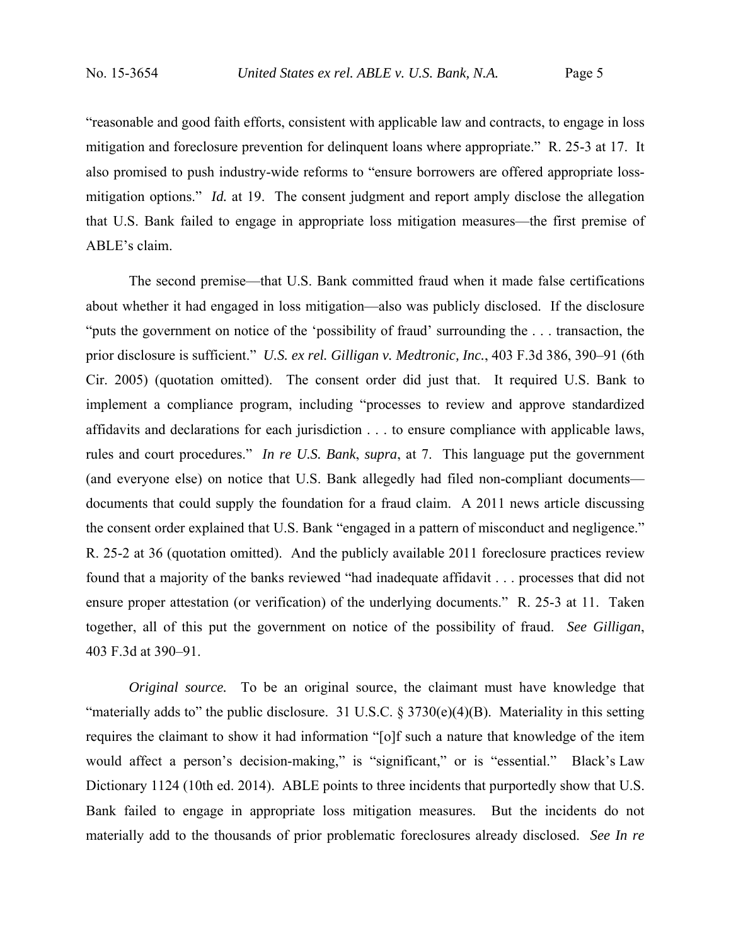"reasonable and good faith efforts, consistent with applicable law and contracts, to engage in loss mitigation and foreclosure prevention for delinquent loans where appropriate." R. 25-3 at 17. It also promised to push industry-wide reforms to "ensure borrowers are offered appropriate lossmitigation options." *Id.* at 19. The consent judgment and report amply disclose the allegation that U.S. Bank failed to engage in appropriate loss mitigation measures—the first premise of ABLE's claim.

The second premise—that U.S. Bank committed fraud when it made false certifications about whether it had engaged in loss mitigation—also was publicly disclosed. If the disclosure "puts the government on notice of the 'possibility of fraud' surrounding the . . . transaction, the prior disclosure is sufficient." *U.S. ex rel. Gilligan v. Medtronic, Inc.*, 403 F.3d 386, 390–91 (6th Cir. 2005) (quotation omitted). The consent order did just that. It required U.S. Bank to implement a compliance program, including "processes to review and approve standardized affidavits and declarations for each jurisdiction . . . to ensure compliance with applicable laws, rules and court procedures." *In re U.S. Bank*, *supra*, at 7. This language put the government (and everyone else) on notice that U.S. Bank allegedly had filed non-compliant documents documents that could supply the foundation for a fraud claim. A 2011 news article discussing the consent order explained that U.S. Bank "engaged in a pattern of misconduct and negligence." R. 25-2 at 36 (quotation omitted). And the publicly available 2011 foreclosure practices review found that a majority of the banks reviewed "had inadequate affidavit . . . processes that did not ensure proper attestation (or verification) of the underlying documents." R. 25-3 at 11. Taken together, all of this put the government on notice of the possibility of fraud. *See Gilligan*, 403 F.3d at 390–91.

*Original source*. To be an original source, the claimant must have knowledge that "materially adds to" the public disclosure. 31 U.S.C. § 3730(e)(4)(B).Materiality in this setting requires the claimant to show it had information "[o]f such a nature that knowledge of the item would affect a person's decision-making," is "significant," or is "essential." Black's Law Dictionary 1124 (10th ed. 2014). ABLE points to three incidents that purportedly show that U.S. Bank failed to engage in appropriate loss mitigation measures. But the incidents do not materially add to the thousands of prior problematic foreclosures already disclosed. *See In re*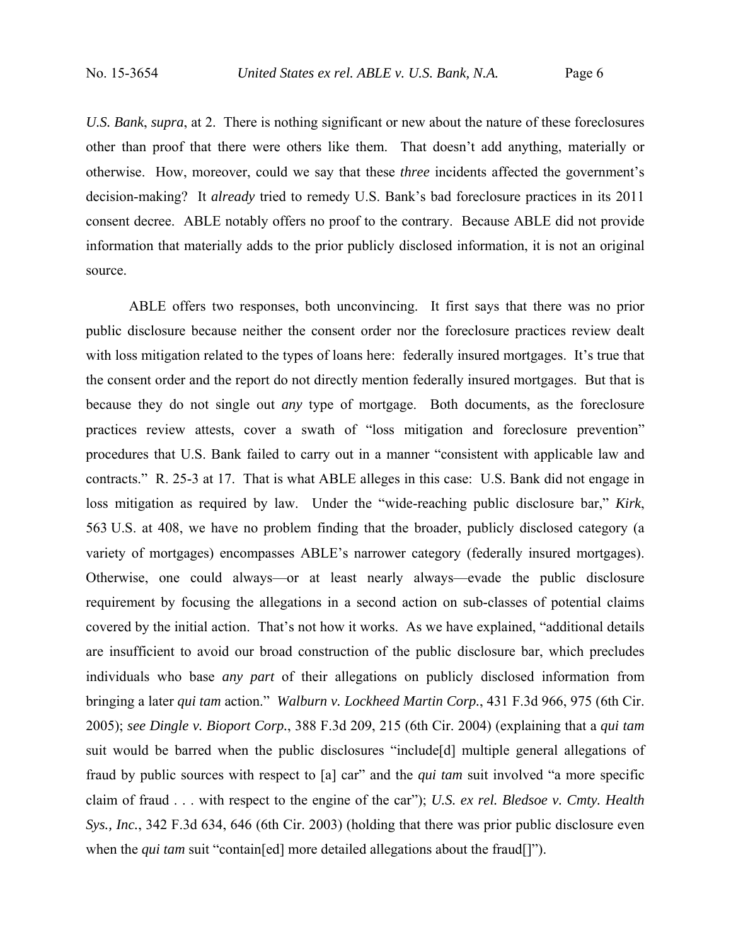*U.S. Bank*, *supra*, at 2. There is nothing significant or new about the nature of these foreclosures other than proof that there were others like them. That doesn't add anything, materially or otherwise. How, moreover, could we say that these *three* incidents affected the government's decision-making? It *already* tried to remedy U.S. Bank's bad foreclosure practices in its 2011 consent decree. ABLE notably offers no proof to the contrary. Because ABLE did not provide information that materially adds to the prior publicly disclosed information, it is not an original source.

ABLE offers two responses, both unconvincing. It first says that there was no prior public disclosure because neither the consent order nor the foreclosure practices review dealt with loss mitigation related to the types of loans here: federally insured mortgages. It's true that the consent order and the report do not directly mention federally insured mortgages. But that is because they do not single out *any* type of mortgage. Both documents, as the foreclosure practices review attests, cover a swath of "loss mitigation and foreclosure prevention" procedures that U.S. Bank failed to carry out in a manner "consistent with applicable law and contracts." R. 25-3 at 17. That is what ABLE alleges in this case: U.S. Bank did not engage in loss mitigation as required by law. Under the "wide-reaching public disclosure bar," *Kirk*, 563 U.S. at 408, we have no problem finding that the broader, publicly disclosed category (a variety of mortgages) encompasses ABLE's narrower category (federally insured mortgages). Otherwise, one could always—or at least nearly always—evade the public disclosure requirement by focusing the allegations in a second action on sub-classes of potential claims covered by the initial action. That's not how it works. As we have explained, "additional details are insufficient to avoid our broad construction of the public disclosure bar, which precludes individuals who base *any part* of their allegations on publicly disclosed information from bringing a later *qui tam* action." *Walburn v. Lockheed Martin Corp.*, 431 F.3d 966, 975 (6th Cir. 2005); *see Dingle v. Bioport Corp.*, 388 F.3d 209, 215 (6th Cir. 2004) (explaining that a *qui tam*  suit would be barred when the public disclosures "include[d] multiple general allegations of fraud by public sources with respect to [a] car" and the *qui tam* suit involved "a more specific claim of fraud . . . with respect to the engine of the car"); *U.S. ex rel. Bledsoe v. Cmty. Health Sys., Inc.*, 342 F.3d 634, 646 (6th Cir. 2003) (holding that there was prior public disclosure even when the *qui tam* suit "contain[ed] more detailed allegations about the fraud[]").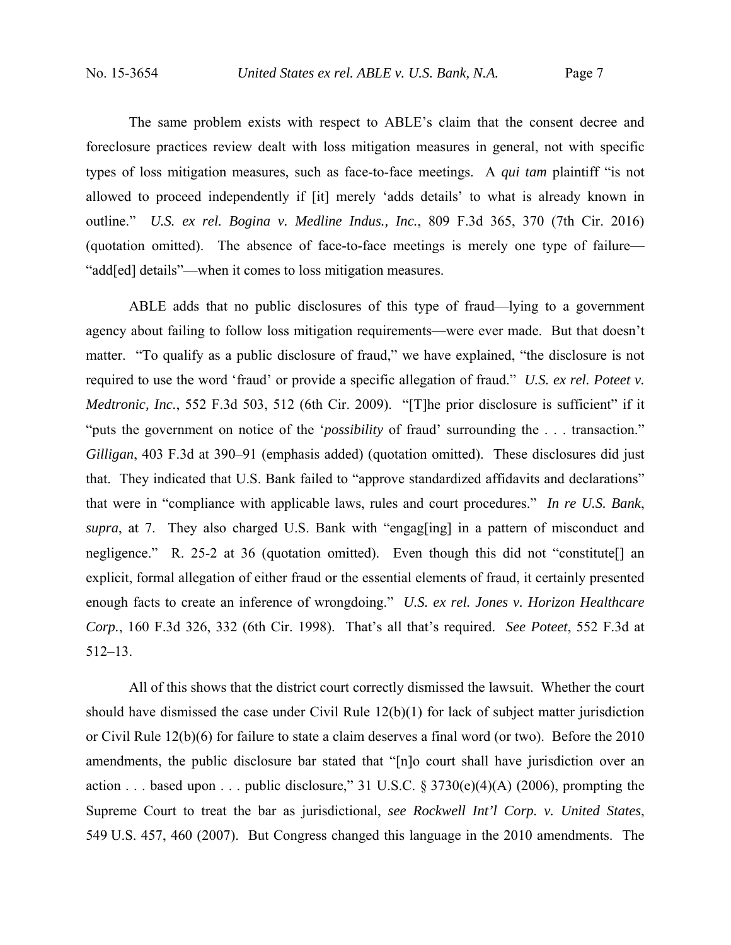The same problem exists with respect to ABLE's claim that the consent decree and foreclosure practices review dealt with loss mitigation measures in general, not with specific types of loss mitigation measures, such as face-to-face meetings. A *qui tam* plaintiff "is not allowed to proceed independently if [it] merely 'adds details' to what is already known in outline." *U.S. ex rel. Bogina v. Medline Indus., Inc.*, 809 F.3d 365, 370 (7th Cir. 2016) (quotation omitted). The absence of face-to-face meetings is merely one type of failure— "add[ed] details"—when it comes to loss mitigation measures.

ABLE adds that no public disclosures of this type of fraud—lying to a government agency about failing to follow loss mitigation requirements—were ever made. But that doesn't matter. "To qualify as a public disclosure of fraud," we have explained, "the disclosure is not required to use the word 'fraud' or provide a specific allegation of fraud." *U.S. ex rel. Poteet v. Medtronic, Inc.*, 552 F.3d 503, 512 (6th Cir. 2009). "[T]he prior disclosure is sufficient" if it "puts the government on notice of the '*possibility* of fraud' surrounding the . . . transaction." *Gilligan*, 403 F.3d at 390–91 (emphasis added) (quotation omitted). These disclosures did just that. They indicated that U.S. Bank failed to "approve standardized affidavits and declarations" that were in "compliance with applicable laws, rules and court procedures." *In re U.S. Bank*, *supra*, at 7. They also charged U.S. Bank with "engag[ing] in a pattern of misconduct and negligence." R. 25-2 at 36 (quotation omitted). Even though this did not "constitute. explicit, formal allegation of either fraud or the essential elements of fraud, it certainly presented enough facts to create an inference of wrongdoing." *U.S. ex rel. Jones v. Horizon Healthcare Corp.*, 160 F.3d 326, 332 (6th Cir. 1998). That's all that's required. *See Poteet*, 552 F.3d at 512–13.

All of this shows that the district court correctly dismissed the lawsuit. Whether the court should have dismissed the case under Civil Rule 12(b)(1) for lack of subject matter jurisdiction or Civil Rule 12(b)(6) for failure to state a claim deserves a final word (or two). Before the 2010 amendments, the public disclosure bar stated that "[n]o court shall have jurisdiction over an action . . . based upon . . . public disclosure," 31 U.S.C.  $\S 3730(e)(4)(A)$  (2006), prompting the Supreme Court to treat the bar as jurisdictional, *see Rockwell Int'l Corp. v. United States*, 549 U.S. 457, 460 (2007). But Congress changed this language in the 2010 amendments. The